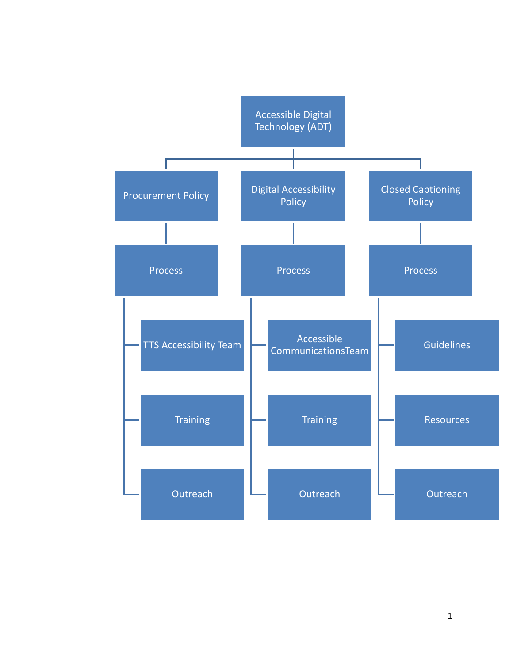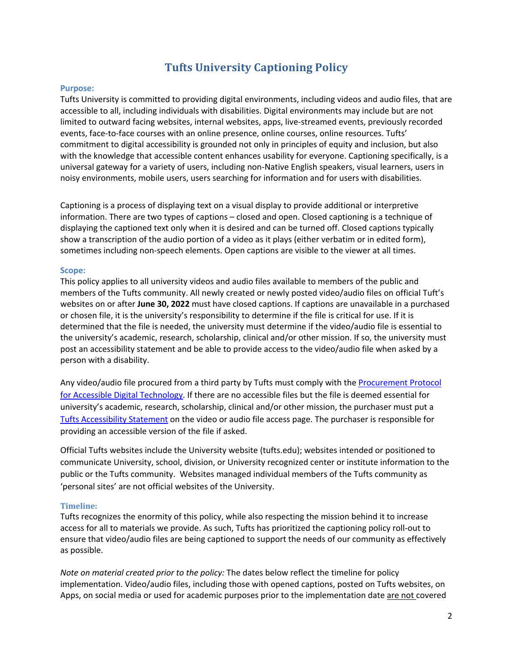# **Tufts University Captioning Policy**

# **Purpose:**

Tufts University is committed to providing digital environments, including videos and audio files, that are accessible to all, including individuals with disabilities. Digital environments may include but are not limited to outward facing websites, internal websites, apps, live-streamed events, previously recorded events, face-to-face courses with an online presence, online courses, online resources. Tufts' commitment to digital accessibility is grounded not only in principles of equity and inclusion, but also with the knowledge that accessible content enhances usability for everyone. Captioning specifically, is a universal gateway for a variety of users, including non-Native English speakers, visual learners, users in noisy environments, mobile users, users searching for information and for users with disabilities.

Captioning is a process of displaying text on a visual display to provide additional or interpretive information. There are two types of captions – closed and open. Closed captioning is a technique of displaying the captioned text only when it is desired and can be turned off. Closed captions typically show a transcription of the audio portion of a video as it plays (either verbatim or in edited form), sometimes including non-speech elements. Open captions are visible to the viewer at all times.

## **Scope:**

This policy applies to all university videos and audio files available to members of the public and members of the Tufts community. All newly created or newly posted video/audio files on official Tuft's websites on or after **June 30, 2022** must have closed captions. If captions are unavailable in a purchased or chosen file, it is the university's responsibility to determine if the file is critical for use. If it is determined that the file is needed, the university must determine if the video/audio file is essential to the university's academic, research, scholarship, clinical and/or other mission. If so, the university must post an accessibility statement and be able to provide access to the video/audio file when asked by a person with a disability.

Any video/audio file procured from a third party by Tufts must comply with the Procurement Protocol for Accessible Digital Technology. If there are no accessible files but the file is deemed essential for university's academic, research, scholarship, clinical and/or other mission, the purchaser must put a Tufts Accessibility Statement on the video or audio file access page. The purchaser is responsible for providing an accessible version of the file if asked.

Official Tufts websites include the University website (tufts.edu); websites intended or positioned to communicate University, school, division, or University recognized center or institute information to the public or the Tufts community. Websites managed individual members of the Tufts community as 'personal sites' are not official websites of the University.

## **Timeline:**

Tufts recognizes the enormity of this policy, while also respecting the mission behind it to increase access for all to materials we provide. As such, Tufts has prioritized the captioning policy roll-out to ensure that video/audio files are being captioned to support the needs of our community as effectively as possible.

*Note on material created prior to the policy:* The dates below reflect the timeline for policy implementation. Video/audio files, including those with opened captions, posted on Tufts websites, on Apps, on social media or used for academic purposes prior to the implementation date are not covered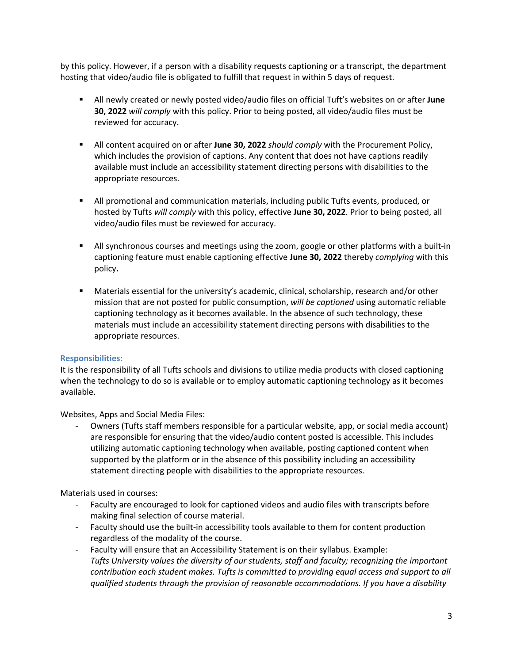by this policy. However, if a person with a disability requests captioning or a transcript, the department hosting that video/audio file is obligated to fulfill that request in within 5 days of request.

- All newly created or newly posted video/audio files on official Tuft's websites on or after **June 30, 2022** *will comply* with this policy. Prior to being posted, all video/audio files must be reviewed for accuracy.
- All content acquired on or after **June 30, 2022** *should comply* with the Procurement Policy, which includes the provision of captions. Any content that does not have captions readily available must include an accessibility statement directing persons with disabilities to the appropriate resources.
- All promotional and communication materials, including public Tufts events, produced, or hosted by Tufts *will comply* with this policy, effective **June 30, 2022**. Prior to being posted, all video/audio files must be reviewed for accuracy.
- § All synchronous courses and meetings using the zoom, google or other platforms with a built-in captioning feature must enable captioning effective **June 30, 2022** thereby *complying* with this policy**.**
- Materials essential for the university's academic, clinical, scholarship, research and/or other mission that are not posted for public consumption, *will be captioned* using automatic reliable captioning technology as it becomes available. In the absence of such technology, these materials must include an accessibility statement directing persons with disabilities to the appropriate resources.

# **Responsibilities:**

It is the responsibility of all Tufts schools and divisions to utilize media products with closed captioning when the technology to do so is available or to employ automatic captioning technology as it becomes available.

Websites, Apps and Social Media Files:

- Owners (Tufts staff members responsible for a particular website, app, or social media account) are responsible for ensuring that the video/audio content posted is accessible. This includes utilizing automatic captioning technology when available, posting captioned content when supported by the platform or in the absence of this possibility including an accessibility statement directing people with disabilities to the appropriate resources.

Materials used in courses:

- Faculty are encouraged to look for captioned videos and audio files with transcripts before making final selection of course material.
- Faculty should use the built-in accessibility tools available to them for content production regardless of the modality of the course.
- Faculty will ensure that an Accessibility Statement is on their syllabus. Example: *Tufts University values the diversity of our students, staff and faculty; recognizing the important contribution each student makes. Tufts is committed to providing equal access and support to all qualified students through the provision of reasonable accommodations. If you have a disability*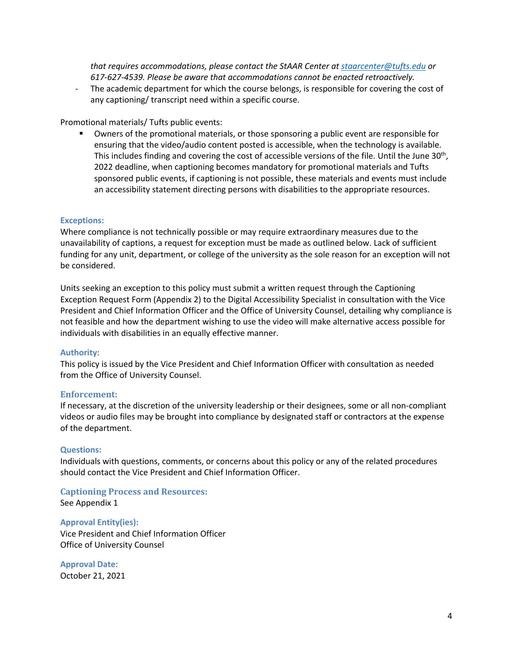*that requires accommodations, please contact the StAAR Center at staarcenter@tufts.edu or 617-627-4539. Please be aware that accommodations cannot be enacted retroactively.*

- The academic department for which the course belongs, is responsible for covering the cost of any captioning/ transcript need within a specific course.

# Promotional materials/ Tufts public events:

§ Owners of the promotional materials, or those sponsoring a public event are responsible for ensuring that the video/audio content posted is accessible, when the technology is available. This includes finding and covering the cost of accessible versions of the file. Until the June 30<sup>th</sup>, 2022 deadline, when captioning becomes mandatory for promotional materials and Tufts sponsored public events, if captioning is not possible, these materials and events must include an accessibility statement directing persons with disabilities to the appropriate resources.

### **Exceptions:**

Where compliance is not technically possible or may require extraordinary measures due to the unavailability of captions, a request for exception must be made as outlined below. Lack of sufficient funding for any unit, department, or college of the university as the sole reason for an exception will not be considered.

Units seeking an exception to this policy must submit a written request through the Captioning Exception Request Form (Appendix 2) to the Digital Accessibility Specialist in consultation with the Vice President and Chief Information Officer and the Office of University Counsel, detailing why compliance is not feasible and how the department wishing to use the video will make alternative access possible for individuals with disabilities in an equally effective manner.

#### **Authority:**

This policy is issued by the Vice President and Chief Information Officer with consultation as needed from the Office of University Counsel.

#### **Enforcement:**

If necessary, at the discretion of the university leadership or their designees, some or all non-compliant videos or audio files may be brought into compliance by designated staff or contractors at the expense of the department.

#### **Questions:**

Individuals with questions, comments, or concerns about this policy or any of the related procedures should contact the Vice President and Chief Information Officer.

# **Captioning Process and Resources:**

See Appendix 1

## **Approval Entity(ies):**

Vice President and Chief Information Officer Office of University Counsel

**Approval Date:** October 21, 2021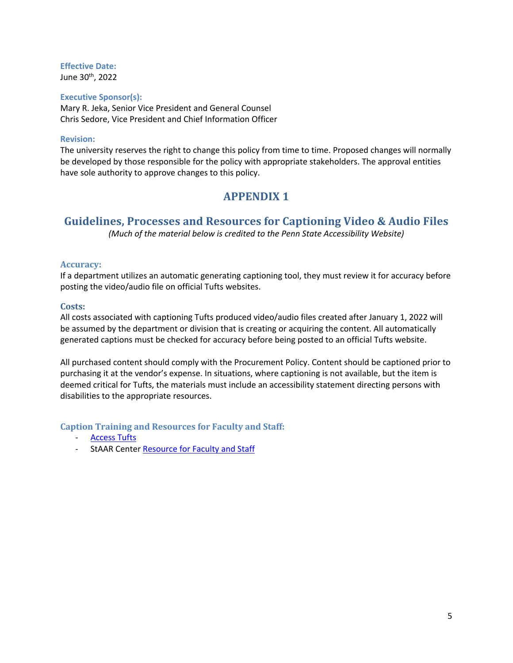**Effective Date:** June 30<sup>th</sup>, 2022

## **Executive Sponsor(s):**

Mary R. Jeka, Senior Vice President and General Counsel Chris Sedore, Vice President and Chief Information Officer

# **Revision:**

The university reserves the right to change this policy from time to time. Proposed changes will normally be developed by those responsible for the policy with appropriate stakeholders. The approval entities have sole authority to approve changes to this policy.

# **APPENDIX 1**

# **Guidelines, Processes and Resources for Captioning Video & Audio Files**

*(Much of the material below is credited to the Penn State Accessibility Website)*

# Accuracy:

If a department utilizes an automatic generating captioning tool, they must review it for accuracy before posting the video/audio file on official Tufts websites.

## **Costs:**

All costs associated with captioning Tufts produced video/audio files created after January 1, 2022 will be assumed by the department or division that is creating or acquiring the content. All automatically generated captions must be checked for accuracy before being posted to an official Tufts website.

All purchased content should comply with the Procurement Policy. Content should be captioned prior to purchasing it at the vendor's expense. In situations, where captioning is not available, but the item is deemed critical for Tufts, the materials must include an accessibility statement directing persons with disabilities to the appropriate resources.

**Caption Training and Resources for Faculty and Staff:** 

- **Access Tufts**
- StAAR Center Resource for Faculty and Staff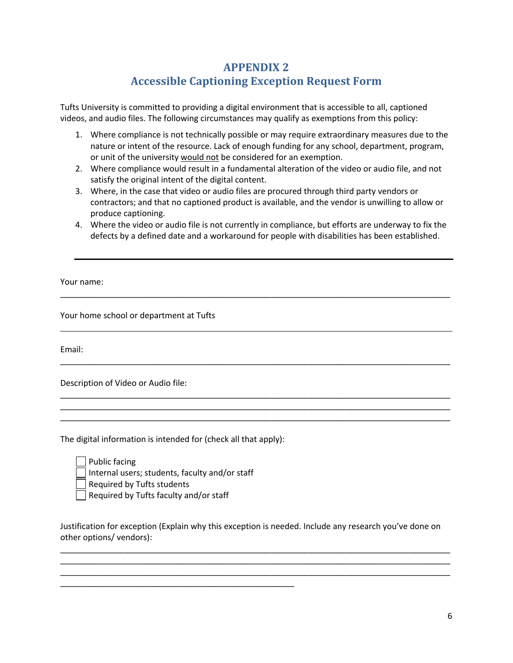# **APPENDIX 2 Accessible Captioning Exception Request Form**

Tufts University is committed to providing a digital environment that is accessible to all, captioned videos, and audio files. The following circumstances may qualify as exemptions from this policy:

- 1. Where compliance is not technically possible or may require extraordinary measures due to the nature or intent of the resource. Lack of enough funding for any school, department, program, or unit of the university would not be considered for an exemption.
- 2. Where compliance would result in a fundamental alteration of the video or audio file, and not satisfy the original intent of the digital content.
- 3. Where, in the case that video or audio files are procured through third party vendors or contractors; and that no captioned product is available, and the vendor is unwilling to allow or produce captioning.
- 4. Where the video or audio file is not currently in compliance, but efforts are underway to fix the defects by a defined date and a workaround for people with disabilities has been established.

\_\_\_\_\_\_\_\_\_\_\_\_\_\_\_\_\_\_\_\_\_\_\_\_\_\_\_\_\_\_\_\_\_\_\_\_\_\_\_\_\_\_\_\_\_\_\_\_\_\_\_\_\_\_\_\_\_\_\_\_\_\_\_\_\_\_\_\_\_\_\_\_\_\_\_\_\_\_\_\_\_\_\_\_\_

\_\_\_\_\_\_\_\_\_\_\_\_\_\_\_\_\_\_\_\_\_\_\_\_\_\_\_\_\_\_\_\_\_\_\_\_\_\_\_\_\_\_\_\_\_\_\_\_\_\_\_\_\_\_\_\_\_\_\_\_\_\_\_\_\_\_\_\_\_\_\_\_\_\_\_\_\_\_\_\_\_\_\_\_\_

\_\_\_\_\_\_\_\_\_\_\_\_\_\_\_\_\_\_\_\_\_\_\_\_\_\_\_\_\_\_\_\_\_\_\_\_\_\_\_\_\_\_\_\_\_\_\_\_\_\_\_\_\_\_\_\_\_\_\_\_\_\_\_\_\_\_\_\_\_\_\_\_\_\_\_\_\_\_\_\_\_\_\_\_\_ \_\_\_\_\_\_\_\_\_\_\_\_\_\_\_\_\_\_\_\_\_\_\_\_\_\_\_\_\_\_\_\_\_\_\_\_\_\_\_\_\_\_\_\_\_\_\_\_\_\_\_\_\_\_\_\_\_\_\_\_\_\_\_\_\_\_\_\_\_\_\_\_\_\_\_\_\_\_\_\_\_\_\_\_\_ \_\_\_\_\_\_\_\_\_\_\_\_\_\_\_\_\_\_\_\_\_\_\_\_\_\_\_\_\_\_\_\_\_\_\_\_\_\_\_\_\_\_\_\_\_\_\_\_\_\_\_\_\_\_\_\_\_\_\_\_\_\_\_\_\_\_\_\_\_\_\_\_\_\_\_\_\_\_\_\_\_\_\_\_\_

Your name:

Your home school or department at Tufts

Email:

Description of Video or Audio file:

The digital information is intended for (check all that apply):

\_\_\_\_\_\_\_\_\_\_\_\_\_\_\_\_\_\_\_\_\_\_\_\_\_\_\_\_\_\_\_\_\_\_\_\_\_\_\_\_\_\_\_\_\_\_\_\_\_\_\_

Public facing Internal users; students, faculty and/or staff

Required by Tufts students

 $\Box$  Required by Tufts faculty and/or staff

Justification for exception (Explain why this exception is needed. Include any research you've done on other options/ vendors):

\_\_\_\_\_\_\_\_\_\_\_\_\_\_\_\_\_\_\_\_\_\_\_\_\_\_\_\_\_\_\_\_\_\_\_\_\_\_\_\_\_\_\_\_\_\_\_\_\_\_\_\_\_\_\_\_\_\_\_\_\_\_\_\_\_\_\_\_\_\_\_\_\_\_\_\_\_\_\_\_\_\_\_\_\_ \_\_\_\_\_\_\_\_\_\_\_\_\_\_\_\_\_\_\_\_\_\_\_\_\_\_\_\_\_\_\_\_\_\_\_\_\_\_\_\_\_\_\_\_\_\_\_\_\_\_\_\_\_\_\_\_\_\_\_\_\_\_\_\_\_\_\_\_\_\_\_\_\_\_\_\_\_\_\_\_\_\_\_\_\_ \_\_\_\_\_\_\_\_\_\_\_\_\_\_\_\_\_\_\_\_\_\_\_\_\_\_\_\_\_\_\_\_\_\_\_\_\_\_\_\_\_\_\_\_\_\_\_\_\_\_\_\_\_\_\_\_\_\_\_\_\_\_\_\_\_\_\_\_\_\_\_\_\_\_\_\_\_\_\_\_\_\_\_\_\_